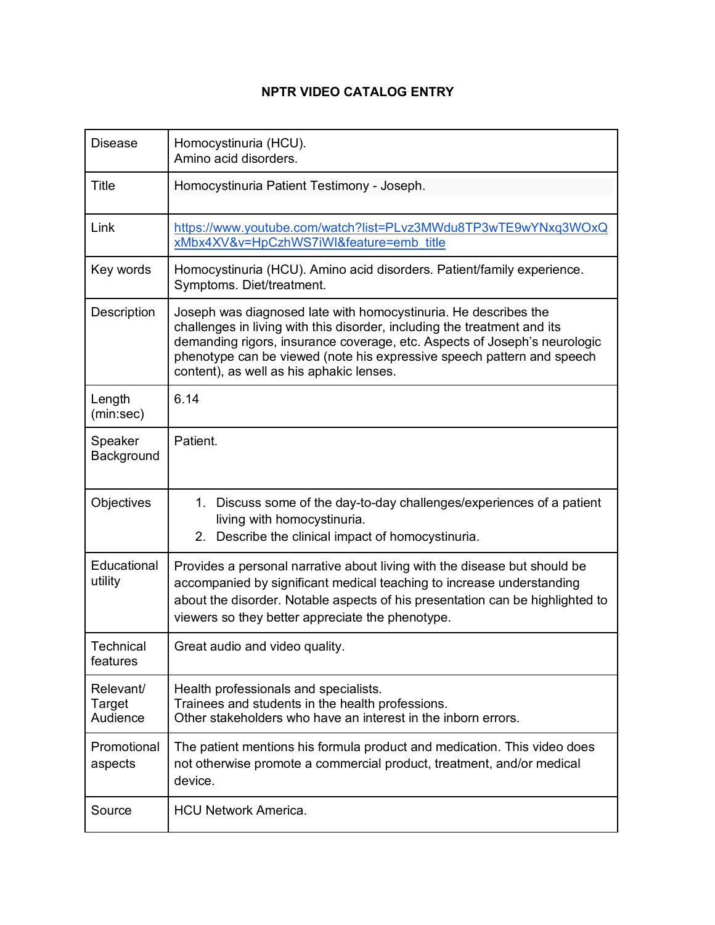## **NPTR VIDEO CATALOG ENTRY**

| <b>Disease</b>                  | Homocystinuria (HCU).<br>Amino acid disorders.                                                                                                                                                                                                                                                                                                 |
|---------------------------------|------------------------------------------------------------------------------------------------------------------------------------------------------------------------------------------------------------------------------------------------------------------------------------------------------------------------------------------------|
| Title                           | Homocystinuria Patient Testimony - Joseph.                                                                                                                                                                                                                                                                                                     |
| Link                            | https://www.youtube.com/watch?list=PLvz3MWdu8TP3wTE9wYNxq3WOxQ<br>xMbx4XV&v=HpCzhWS7iWl&feature=emb title                                                                                                                                                                                                                                      |
| Key words                       | Homocystinuria (HCU). Amino acid disorders. Patient/family experience.<br>Symptoms. Diet/treatment.                                                                                                                                                                                                                                            |
| Description                     | Joseph was diagnosed late with homocystinuria. He describes the<br>challenges in living with this disorder, including the treatment and its<br>demanding rigors, insurance coverage, etc. Aspects of Joseph's neurologic<br>phenotype can be viewed (note his expressive speech pattern and speech<br>content), as well as his aphakic lenses. |
| Length<br>(min:sec)             | 6.14                                                                                                                                                                                                                                                                                                                                           |
| Speaker<br>Background           | Patient.                                                                                                                                                                                                                                                                                                                                       |
| Objectives                      | 1. Discuss some of the day-to-day challenges/experiences of a patient<br>living with homocystinuria.<br>Describe the clinical impact of homocystinuria.<br>2.                                                                                                                                                                                  |
| Educational<br>utility          | Provides a personal narrative about living with the disease but should be<br>accompanied by significant medical teaching to increase understanding<br>about the disorder. Notable aspects of his presentation can be highlighted to<br>viewers so they better appreciate the phenotype.                                                        |
| Technical<br>features           | Great audio and video quality.                                                                                                                                                                                                                                                                                                                 |
| Relevant/<br>Target<br>Audience | Health professionals and specialists.<br>Trainees and students in the health professions.<br>Other stakeholders who have an interest in the inborn errors.                                                                                                                                                                                     |
| Promotional<br>aspects          | The patient mentions his formula product and medication. This video does<br>not otherwise promote a commercial product, treatment, and/or medical<br>device.                                                                                                                                                                                   |
| Source                          | <b>HCU Network America.</b>                                                                                                                                                                                                                                                                                                                    |